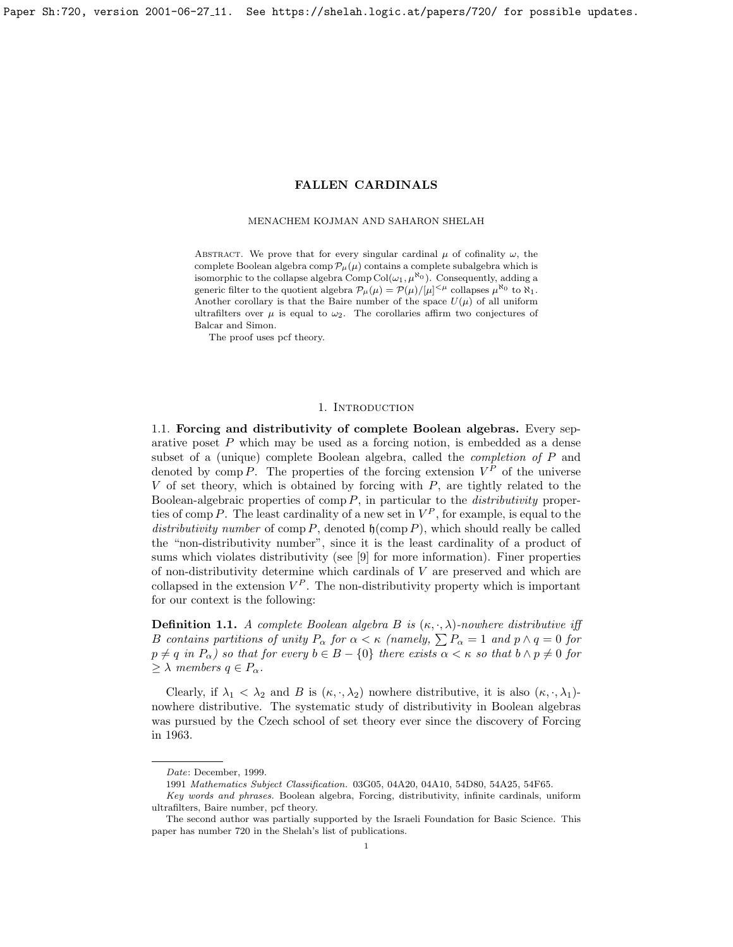<span id="page-0-0"></span>Paper Sh:720, version 2001-06-27 11. See https://shelah.logic.at/papers/720/ for possible updates.

# FALLEN CARDINALS

## MENACHEM KOJMAN AND SAHARON SHELAH

ABSTRACT. We prove that for every singular cardinal  $\mu$  of cofinality  $\omega$ , the complete Boolean algebra comp  $\mathcal{P}_{\mu}(\mu)$  contains a complete subalgebra which is isomorphic to the collapse algebra Comp Col $(\omega_1, \mu^{\aleph_0})$ . Consequently, adding a generic filter to the quotient algebra  $\mathcal{P}_{\mu}(\mu) = \mathcal{P}(\mu)/[\mu]^{<\mu}$  collapses  $\mu^{\aleph_0}$  to  $\aleph_1$ . Another corollary is that the Baire number of the space  $U(\mu)$  of all uniform ultrafilters over  $\mu$  is equal to  $\omega_2$ . The corollaries affirm two conjectures of Balcar and Simon.

The proof uses pcf theory.

# 1. INTRODUCTION

1.1. Forcing and distributivity of complete Boolean algebras. Every separative poset P which may be used as a forcing notion, is embedded as a dense subset of a (unique) complete Boolean algebra, called the completion of P and denoted by comp P. The properties of the forcing extension  $V^P$  of the universe  $V$  of set theory, which is obtained by forcing with  $P$ , are tightly related to the Boolean-algebraic properties of comp  $P$ , in particular to the *distributivity* properties of comp P. The least cardinality of a new set in  $V^P$ , for example, is equal to the distributivity number of comp P, denoted  $\mathfrak{h}(\text{comp } P)$ , which should really be called the "non-distributivity number", since it is the least cardinality of a product of sums which violates distributivity (see [\[9\]](#page-10-0) for more information). Finer properties of non-distributivity determine which cardinals of  $V$  are preserved and which are collapsed in the extension  $V^P$ . The non-distributivity property which is important for our context is the following:

**Definition 1.1.** A complete Boolean algebra B is  $(\kappa, \cdot, \lambda)$ -nowhere distributive iff B contains partitions of unity  $P_{\alpha}$  for  $\alpha < \kappa$  (namely,  $\sum P_{\alpha} = 1$  and  $p \wedge q = 0$  for  $p \neq q$  in  $P_{\alpha}$ ) so that for every  $b \in B - \{0\}$  there exists  $\alpha < \kappa$  so that  $b \wedge p \neq 0$  for  $\geq \lambda$  members  $q \in P_{\alpha}$ .

Clearly, if  $\lambda_1 < \lambda_2$  and B is  $(\kappa, \cdot, \lambda_2)$  nowhere distributive, it is also  $(\kappa, \cdot, \lambda_1)$ nowhere distributive. The systematic study of distributivity in Boolean algebras was pursued by the Czech school of set theory ever since the discovery of Forcing in 1963.

Date: December, 1999.

<sup>1991</sup> Mathematics Subject Classification. 03G05, 04A20, 04A10, 54D80, 54A25, 54F65.

Key words and phrases. Boolean algebra, Forcing, distributivity, infinite cardinals, uniform ultrafilters, Baire number, pcf theory.

The second author was partially supported by the Israeli Foundation for Basic Science. This paper has number 720 in the Shelah's list of publications.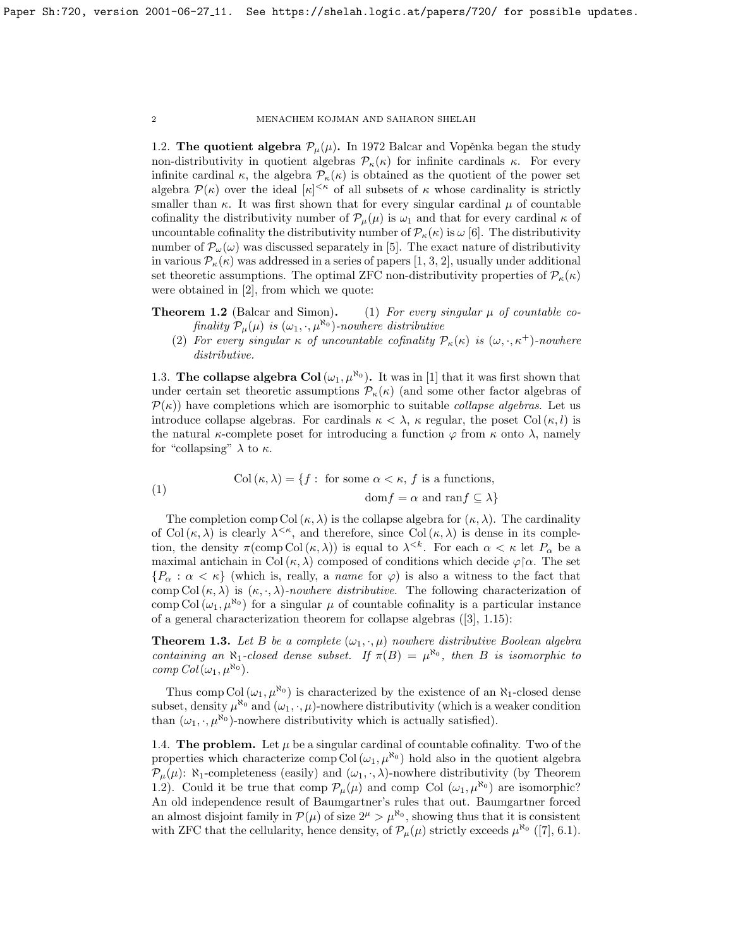1.2. The quotient algebra  $\mathcal{P}_{\mu}(\mu)$ . In 1972 Balcar and Vopěnka began the study non-distributivity in quotient algebras  $\mathcal{P}_{\kappa}(\kappa)$  for infinite cardinals  $\kappa$ . For every infinite cardinal  $\kappa$ , the algebra  $\mathcal{P}_{\kappa}(\kappa)$  is obtained as the quotient of the power set algebra P(κ) over the ideal [κ] <κ of all subsets of κ whose cardinality is strictly smaller than  $\kappa$ . It was first shown that for every singular cardinal  $\mu$  of countable cofinality the distributivity number of  $\mathcal{P}_{\mu}(\mu)$  is  $\omega_1$  and that for every cardinal  $\kappa$  of uncountable cofinality the distributivity number of  $\mathcal{P}_{\kappa}(\kappa)$  is  $\omega$  [\[6\]](#page-10-1). The distributivity number of  $\mathcal{P}_{\omega}(\omega)$  was discussed separately in [\[5\]](#page-10-2). The exact nature of distributivity in various  $\mathcal{P}_{\kappa}(\kappa)$  was addressed in a series of papers [\[1,](#page-10-3) [3,](#page-10-4) [2\]](#page-10-5), usually under additional set theoretic assumptions. The optimal ZFC non-distributivity properties of  $\mathcal{P}_{\kappa}(\kappa)$ were obtained in [\[2\]](#page-10-5), from which we quote:

- **Theorem 1.2** (Balcar and Simon). (1) For every singular  $\mu$  of countable cofinality  $P_{\mu}(\mu)$  is  $(\omega_1, \cdot, \mu^{\aleph_0})$ -nowhere distributive
	- (2) For every singular  $\kappa$  of uncountable cofinality  $\mathcal{P}_{\kappa}(\kappa)$  is  $(\omega, \cdot, \kappa^+)$ -nowhere distributive.

1.3. The collapse algebra Col( $\omega_1, \mu^{\aleph_0}$ ). It was in [\[1\]](#page-10-3) that it was first shown that under certain set theoretic assumptions  $P_{\kappa}(\kappa)$  (and some other factor algebras of  $\mathcal{P}(\kappa)$  have completions which are isomorphic to suitable *collapse algebras*. Let us introduce collapse algebras. For cardinals  $\kappa < \lambda$ ,  $\kappa$  regular, the poset Col( $\kappa, l$ ) is the natural  $\kappa$ -complete poset for introducing a function  $\varphi$  from  $\kappa$  onto  $\lambda$ , namely for "collapsing"  $\lambda$  to  $\kappa$ .

(1) 
$$
\text{Col}(\kappa, \lambda) = \{f : \text{ for some } \alpha < \kappa, f \text{ is a functions, } \}
$$

$$
\text{dom} f = \alpha \text{ and } \text{ran} f \subseteq \lambda \}
$$

The completion comp Col  $(\kappa, \lambda)$  is the collapse algebra for  $(\kappa, \lambda)$ . The cardinality of Col $(\kappa, \lambda)$  is clearly  $\lambda^{\leq \kappa}$ , and therefore, since Col $(\kappa, \lambda)$  is dense in its completion, the density  $\pi(\text{comp Col}(\kappa, \lambda))$  is equal to  $\lambda^{< k}$ . For each  $\alpha < \kappa$  let  $P_\alpha$  be a maximal antichain in Col  $(\kappa, \lambda)$  composed of conditions which decide  $\varphi \upharpoonright \alpha$ . The set  ${P_\alpha : \alpha < \kappa}$  (which is, really, a *name* for  $\varphi$ ) is also a witness to the fact that comp Col  $(\kappa, \lambda)$  is  $(\kappa, \cdot, \lambda)$ -nowhere distributive. The following characterization of comp Col  $(\omega_1, \mu^{\aleph_0})$  for a singular  $\mu$  of countable cofinality is a particular instance of a general characterization theorem for collapse algebras ([\[3\]](#page-10-4), 1.15):

<span id="page-1-0"></span>**Theorem 1.3.** Let B be a complete  $(\omega_1, \cdot, \mu)$  nowhere distributive Boolean algebra containing an N<sub>1</sub>-closed dense subset. If  $\pi(B) = \mu^{\aleph_0}$ , then B is isomorphic to comp  $Col(\omega_1, \mu^{\aleph_0})$ .

Thus comp Col  $(\omega_1, \mu^{\aleph_0})$  is characterized by the existence of an  $\aleph_1$ -closed dense subset, density  $\mu^{\aleph_0}$  and  $(\omega_1, \cdot, \mu)$ -nowhere distributivity (which is a weaker condition than  $(\omega_1, \cdot, \mu^{\aleph_0})$ -nowhere distributivity which is actually satisfied).

1.4. The problem. Let  $\mu$  be a singular cardinal of countable cofinality. Two of the properties which characterize comp Col  $(\omega_1, \mu^{\aleph_0})$  hold also in the quotient algebra  $\mathcal{P}_{\mu}(\mu)$ : N<sub>1</sub>-completeness (easily) and  $(\omega_1, \cdot, \lambda)$ -nowhere distributivity (by Theorem [1.2\)](#page-0-0). Could it be true that comp  $\mathcal{P}_{\mu}(\mu)$  and comp Col  $(\omega_1, \mu^{\aleph_0})$  are isomorphic? An old independence result of Baumgartner's rules that out. Baumgartner forced an almost disjoint family in  $\mathcal{P}(\mu)$  of size  $2^{\mu} > \mu^{\aleph_0}$ , showing thus that it is consistent with ZFC that the cellularity, hence density, of  $\mathcal{P}_{\mu}(\mu)$  strictly exceeds  $\mu^{\aleph_0}$  ([\[7\]](#page-10-6), 6.1).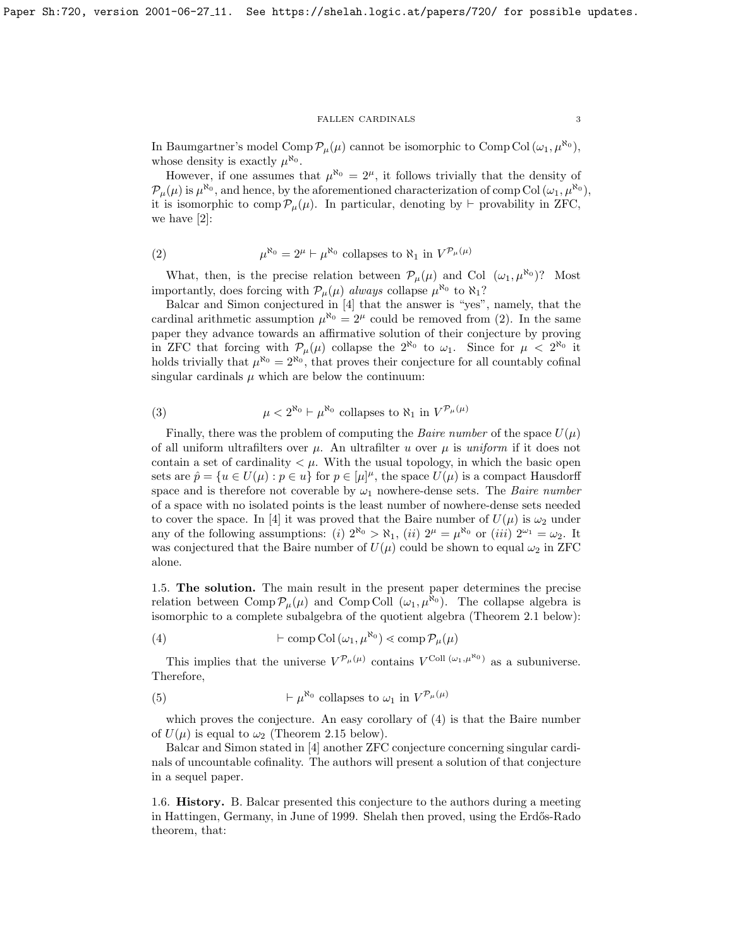In Baumgartner's model Comp  $\mathcal{P}_{\mu}(\mu)$  cannot be isomorphic to Comp Col  $(\omega_1, \mu^{\aleph_0}),$ whose density is exactly  $\mu^{\aleph_0}$ .

However, if one assumes that  $\mu^{\aleph_0} = 2^{\mu}$ , it follows trivially that the density of  $\mathcal{P}_{\mu}(\mu)$  is  $\mu^{\aleph_0}$ , and hence, by the aforementioned characterization of comp Col  $(\omega_1, \mu^{\aleph_0})$ , it is isomorphic to comp  $\mathcal{P}_{\mu}(\mu)$ . In particular, denoting by  $\vdash$  provability in ZFC, we have [\[2\]](#page-10-5):

<span id="page-2-0"></span>(2) 
$$
\mu^{\aleph_0} = 2^{\mu} \vdash \mu^{\aleph_0} \text{ collapses to } \aleph_1 \text{ in } V^{\mathcal{P}_{\mu}(\mu)}
$$

What, then, is the precise relation between  $\mathcal{P}_{\mu}(\mu)$  and Col  $(\omega_1, \mu^{\aleph_0})$ ? Most importantly, does forcing with  $P_{\mu}(\mu)$  always collapse  $\mu^{\aleph_0}$  to  $\aleph_1$ ?

Balcar and Simon conjectured in [\[4\]](#page-10-7) that the answer is "yes", namely, that the cardinal arithmetic assumption  $\mu^{\aleph_0} = 2^{\mu}$  could be removed from [\(2\)](#page-2-0). In the same paper they advance towards an affirmative solution of their conjecture by proving in ZFC that forcing with  $\mathcal{P}_{\mu}(\mu)$  collapse the  $2^{\aleph_0}$  to  $\omega_1$ . Since for  $\mu < 2^{\aleph_0}$  it holds trivially that  $\mu^{\aleph_0} = 2^{\aleph_0}$ , that proves their conjecture for all countably cofinal singular cardinals  $\mu$  which are below the continuum:

<span id="page-2-2"></span>(3) 
$$
\mu < 2^{\aleph_0} \vdash \mu^{\aleph_0} \text{ collapses to } \aleph_1 \text{ in } V^{\mathcal{P}_\mu(\mu)}
$$

Finally, there was the problem of computing the *Baire number* of the space  $U(\mu)$ of all uniform ultrafilters over  $\mu$ . An ultrafilter u over  $\mu$  is uniform if it does not contain a set of cardinality  $\lt \mu$ . With the usual topology, in which the basic open sets are  $\hat{p} = \{u \in U(\mu) : p \in u\}$  for  $p \in [\mu]^{\mu}$ , the space  $U(\mu)$  is a compact Hausdorff space and is therefore not coverable by  $\omega_1$  nowhere-dense sets. The *Baire number* of a space with no isolated points is the least number of nowhere-dense sets needed to cover the space. In [\[4\]](#page-10-7) it was proved that the Baire number of  $U(\mu)$  is  $\omega_2$  under any of the following assumptions: (i)  $2^{\aleph_0} > \aleph_1$ , (ii)  $2^{\mu} = \mu^{\aleph_0}$  or (iii)  $2^{\omega_1} = \omega_2$ . It was conjectured that the Baire number of  $U(\mu)$  could be shown to equal  $\omega_2$  in ZFC alone.

1.5. The solution. The main result in the present paper determines the precise relation between Comp  $\mathcal{P}_{\mu}(\mu)$  and Comp Coll  $(\omega_1, \mu^{\aleph_0})$ . The collapse algebra is isomorphic to a complete subalgebra of the quotient algebra (Theorem [2.1](#page-4-0) below):

<span id="page-2-1"></span>(4) 
$$
\vdash \text{comp Col}(\omega_1, \mu^{\aleph_0}) \lessdot \text{comp } \mathcal{P}_{\mu}(\mu)
$$

This implies that the universe  $V^{\mathcal{P}_\mu(\mu)}$  contains  $V^{\text{Coll } (\omega_1,\mu^{\aleph_0})}$  as a subuniverse. Therefore,

<span id="page-2-3"></span>(5) 
$$
\vdash \mu^{\aleph_0} \text{ collapses to } \omega_1 \text{ in } V^{\mathcal{P}_\mu(\mu)}
$$

which proves the conjecture. An easy corollary of [\(4\)](#page-2-1) is that the Baire number of  $U(\mu)$  is equal to  $\omega_2$  (Theorem [2.15](#page-8-0) below).

Balcar and Simon stated in [\[4\]](#page-10-7) another ZFC conjecture concerning singular cardinals of uncountable cofinality. The authors will present a solution of that conjecture in a sequel paper.

1.6. History. B. Balcar presented this conjecture to the authors during a meeting in Hattingen, Germany, in June of 1999. Shelah then proved, using the Erdős-Rado theorem, that: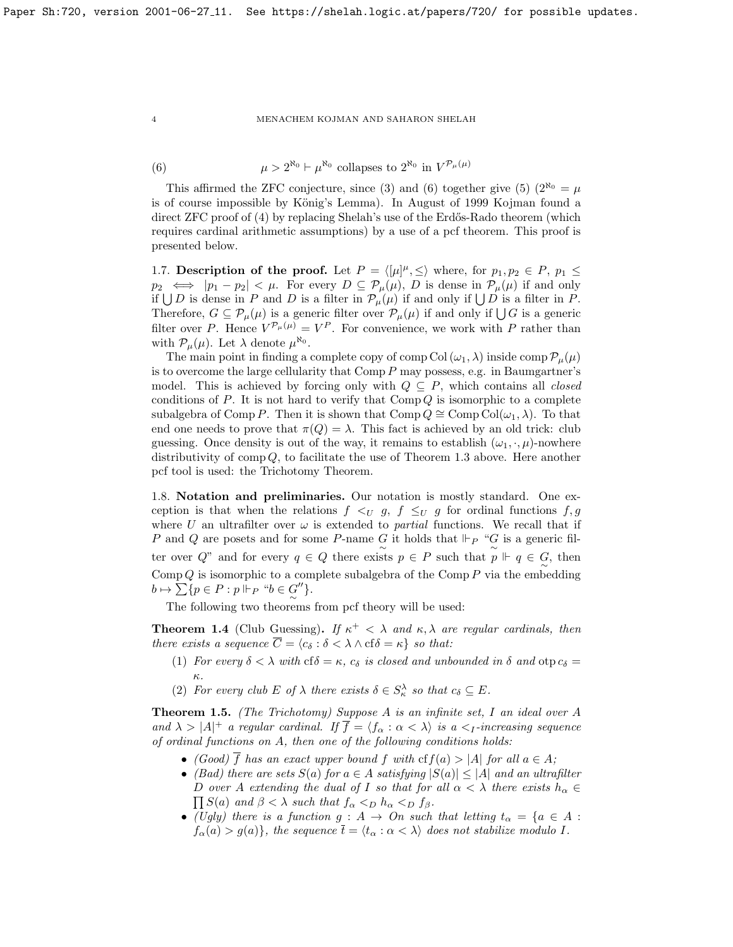<span id="page-3-0"></span>(6)  $\mu > 2^{\aleph_0} \vdash \mu^{\aleph_0}$  collapses to  $2^{\aleph_0}$  in  $V^{\mathcal{P}_\mu(\mu)}$ 

This affirmed the ZFC conjecture, since [\(3\)](#page-2-2) and [\(6\)](#page-3-0) together give [\(5\)](#page-2-3) ( $2^{\aleph_0} = \mu$ is of course impossible by König's Lemma). In August of 1999 Kojman found a direct  $ZFC$  proof of  $(4)$  by replacing Shelah's use of the Erdős-Rado theorem (which requires cardinal arithmetic assumptions) by a use of a pcf theorem. This proof is presented below.

1.7. Description of the proof. Let  $P = \langle [\mu]^{\mu}, \leq \rangle$  where, for  $p_1, p_2 \in P$ ,  $p_1 \leq$  $p_2 \iff |p_1 - p_2| < \mu$ . For every  $D \subseteq \mathcal{P}_{\mu}(\mu)$ , D is dense in  $\mathcal{P}_{\mu}(\mu)$  if and only if  $\bigcup D$  is dense in P and D is a filter in  $\mathcal{P}_{\mu}(\mu)$  if and only if  $\bigcup D$  is a filter in P. Therefore,  $G \subseteq \mathcal{P}_{\mu}(\mu)$  is a generic filter over  $\mathcal{P}_{\mu}(\mu)$  if and only if  $\bigcup G$  is a generic filter over P. Hence  $V^{\mathcal{P}_\mu(\mu)} = V^P$ . For convenience, we work with P rather than with  $\mathcal{P}_{\mu}(\mu)$ . Let  $\lambda$  denote  $\mu^{\aleph_0}$ .

The main point in finding a complete copy of comp Col  $(\omega_1, \lambda)$  inside comp  $\mathcal{P}_{\mu}(\mu)$ is to overcome the large cellularity that Comp  $P$  may possess, e.g. in Baumgartner's model. This is achieved by forcing only with  $Q \subseteq P$ , which contains all *closed* conditions of  $P$ . It is not hard to verify that  $\text{Comp }Q$  is isomorphic to a complete subalgebra of Comp P. Then it is shown that Comp  $Q \cong \text{Comp } \text{Col}(\omega_1, \lambda)$ . To that end one needs to prove that  $\pi(Q) = \lambda$ . This fact is achieved by an old trick: club guessing. Once density is out of the way, it remains to establish  $(\omega_1, \cdot, \mu)$ -nowhere distributivity of comp Q, to facilitate the use of Theorem [1.3](#page-1-0) above. Here another pcf tool is used: the Trichotomy Theorem.

1.8. Notation and preliminaries. Our notation is mostly standard. One exception is that when the relations  $f \leq_U g$ ,  $f \leq_U g$  for ordinal functions  $f, g$ where U an ultrafilter over  $\omega$  is extended to *partial* functions. We recall that if P and Q are posets and for some P-name G it holds that  $\Vdash_{P}$  "G is a generic filter over Q" and for every  $q \in Q$  there exists  $p \in P$  such that  $p \Vdash q \in Q$ , then  $\mathrm{Comp}\, Q$  is isomorphic to a complete subalgebra of the  $\mathrm{Comp}\, P$  via the embedding  $b \mapsto \sum \{p \in P : p \Vdash_P \text{``} b \in G''\}.$ 

The following two theorems from pcf theory will be used:

<span id="page-3-1"></span>**Theorem 1.4** (Club Guessing). If  $\kappa^+ < \lambda$  and  $\kappa, \lambda$  are regular cardinals, then there exists a sequence  $\overline{C} = \langle c_{\delta} : \delta \langle \lambda \wedge c f \delta \rangle = \kappa \}$  so that:

- (1) For every  $\delta < \lambda$  with cf $\delta = \kappa$ ,  $c_{\delta}$  is closed and unbounded in  $\delta$  and  $\alpha$ to  $c_{\delta} =$ κ.
- (2) For every club E of  $\lambda$  there exists  $\delta \in S_{\kappa}^{\lambda}$  so that  $c_{\delta} \subseteq E$ .

**Theorem 1.5.** (The Trichotomy) Suppose A is an infinite set, I an ideal over A and  $\lambda > |A|^+$  a regular cardinal. If  $\overline{f} = \langle f_\alpha : \alpha < \lambda \rangle$  is a  $\langle I$ -increasing sequence of ordinal functions on A, then one of the following conditions holds:

- (Good)  $\overline{f}$  has an exact upper bound f with  $cf(a) > |A|$  for all  $a \in A$ ;
- (Bad) there are sets  $S(a)$  for  $a \in A$  satisfying  $|S(a)| \leq |A|$  and an ultrafilter D over A extending the dual of I so that for all  $\alpha < \lambda$  there exists  $h_{\alpha} \in$  $\prod S(a)$  and  $\beta < \lambda$  such that  $f_{\alpha} <_{D} h_{\alpha} <_{D} f_{\beta}$ .
- (Ugly) there is a function  $g : A \to On$  such that letting  $t_{\alpha} = \{a \in A :$  $f_{\alpha}(a) > g(a)$ , the sequence  $\bar{t} = \langle t_{\alpha} : \alpha < \lambda \rangle$  does not stabilize modulo I.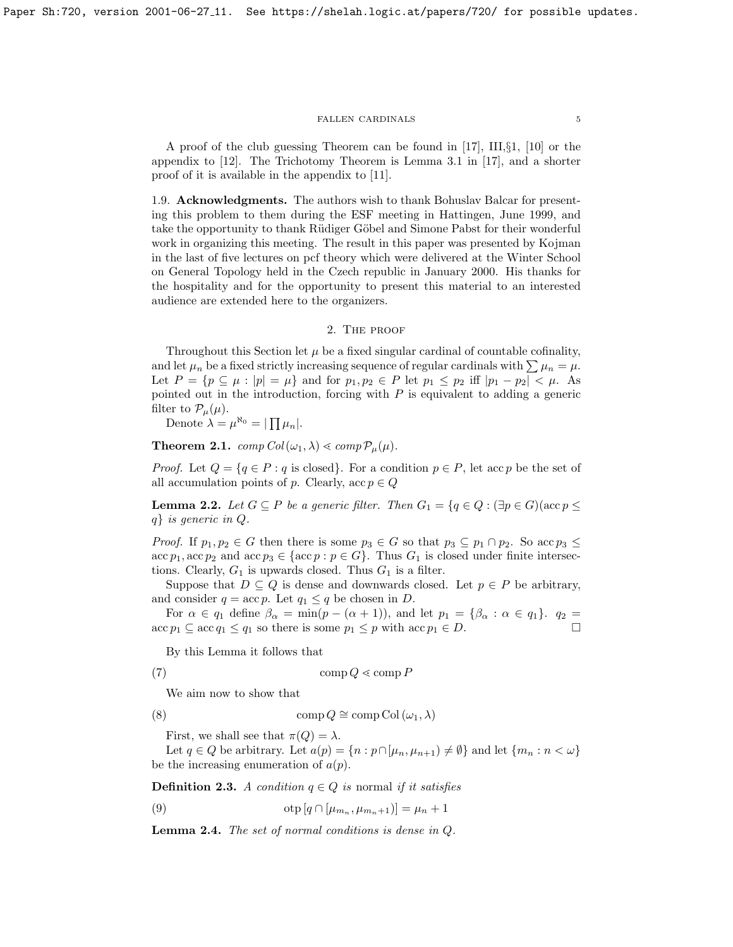A proof of the club guessing Theorem can be found in [\[17\]](#page-10-8), III,§1, [\[10\]](#page-10-9) or the appendix to [\[12\]](#page-10-10). The Trichotomy Theorem is Lemma 3.1 in [\[17\]](#page-10-8), and a shorter proof of it is available in the appendix to [\[11\]](#page-10-11).

1.9. Acknowledgments. The authors wish to thank Bohuslav Balcar for presenting this problem to them during the ESF meeting in Hattingen, June 1999, and take the opportunity to thank Rüdiger Göbel and Simone Pabst for their wonderful work in organizing this meeting. The result in this paper was presented by Kojman in the last of five lectures on pcf theory which were delivered at the Winter School on General Topology held in the Czech republic in January 2000. His thanks for the hospitality and for the opportunity to present this material to an interested audience are extended here to the organizers.

# 2. The proof

Throughout this Section let  $\mu$  be a fixed singular cardinal of countable cofinality, and let  $\mu_n$  be a fixed strictly increasing sequence of regular cardinals with  $\sum \mu_n = \mu$ . Let  $P = \{p \subseteq \mu : |p| = \mu\}$  and for  $p_1, p_2 \in P$  let  $p_1 \leq p_2$  iff  $|p_1 - p_2| < \mu$ . As pointed out in the introduction, forcing with  $P$  is equivalent to adding a generic filter to  $\mathcal{P}_{\mu}(\mu)$ .

Denote  $\lambda = \mu^{\aleph_0} = |\prod \mu_n|.$ 

<span id="page-4-0"></span>**Theorem 2.1.**  $comp\,Col(\omega_1, \lambda) \ll comp\,P_u(\mu)$ .

*Proof.* Let  $Q = \{q \in P : q \text{ is closed}\}\.$  For a condition  $p \in P$ , let acc p be the set of all accumulation points of p. Clearly, acc  $p \in Q$ 

<span id="page-4-3"></span>**Lemma 2.2.** Let  $G \subseteq P$  be a generic filter. Then  $G_1 = \{q \in Q : (\exists p \in G)(\text{acc } p \leq \emptyset)\}$ q} is generic in Q.

*Proof.* If  $p_1, p_2 \in G$  then there is some  $p_3 \in G$  so that  $p_3 \subseteq p_1 \cap p_2$ . So acc  $p_3 \leq$  $\mathrm{acc}\, p_1, \mathrm{acc}\, p_2$  and  $\mathrm{acc}\, p_3 \in \{\mathrm{acc}\, p : p \in G\}$ . Thus  $G_1$  is closed under finite intersections. Clearly,  $G_1$  is upwards closed. Thus  $G_1$  is a filter.

Suppose that  $D \subseteq Q$  is dense and downwards closed. Let  $p \in P$  be arbitrary, and consider  $q = \operatorname{acc} p$ . Let  $q_1 \leq q$  be chosen in D.

For  $\alpha \in q_1$  define  $\beta_{\alpha} = \min(p - (\alpha + 1))$ , and let  $p_1 = {\beta_{\alpha} : \alpha \in q_1}$ .  $q_2 =$  $\mathrm{acc}\, p_1 \subseteq \mathrm{acc}\, q_1 \leq q_1$  so there is some  $p_1 \leq p$  with  $\mathrm{acc}\, p_1 \in D$ .

By this Lemma it follows that

$$
(7) \t comp Q \lessdot comp P
$$

<span id="page-4-2"></span>We aim now to show that

(8) 
$$
\text{comp } Q \cong \text{comp } \text{Col } (\omega_1, \lambda)
$$

First, we shall see that  $\pi(Q) = \lambda$ .

Let  $q \in Q$  be arbitrary. Let  $a(p) = \{n : p \cap [\mu_n, \mu_{n+1}) \neq \emptyset\}$  and let  $\{m_n : n < \omega\}$ be the increasing enumeration of  $a(p)$ .

**Definition 2.3.** A condition  $q \in Q$  is normal if it satisfies

<span id="page-4-1"></span>(9) 
$$
\text{otp}[q \cap [\mu_{m_n}, \mu_{m_n+1})] = \mu_n + 1
$$

Lemma 2.4. The set of normal conditions is dense in Q.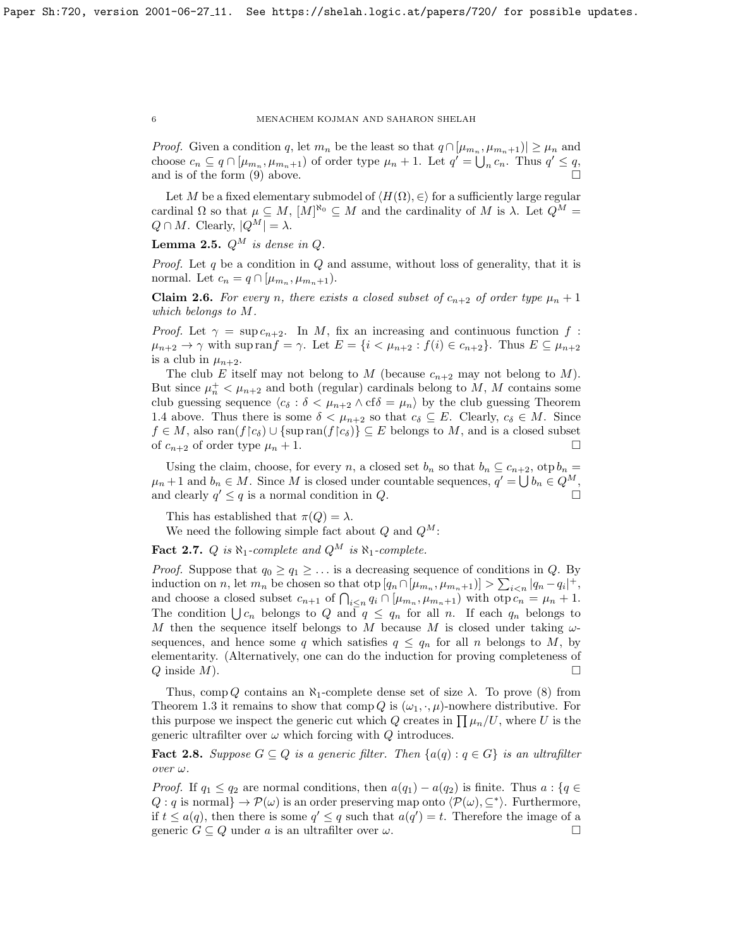*Proof.* Given a condition q, let  $m_n$  be the least so that  $q \cap [\mu_{m_n}, \mu_{m_n+1}] \ge \mu_n$  and choose  $c_n \subseteq q \cap [\mu_{m_n}, \mu_{m_n+1})$  of order type  $\mu_n + 1$ . Let  $q' = \bigcup_n c_n$ . Thus  $q' \leq q$ , and is of the form  $(9)$  above.

Let M be a fixed elementary submodel of  $\langle H(\Omega), \in \rangle$  for a sufficiently large regular cardinal  $\Omega$  so that  $\mu \subseteq M$ ,  $[M]^{\aleph_0} \subseteq M$  and the cardinality of M is  $\lambda$ . Let  $Q^M =$  $Q \cap M$ . Clearly,  $|Q^M| = \lambda$ .

Lemma 2.5.  $Q^M$  is dense in Q.

*Proof.* Let q be a condition in  $Q$  and assume, without loss of generality, that it is normal. Let  $c_n = q \cap [\mu_{m_n}, \mu_{m_n+1}).$ 

**Claim 2.6.** For every n, there exists a closed subset of  $c_{n+2}$  of order type  $\mu_n + 1$ which belongs to M.

*Proof.* Let  $\gamma = \sup c_{n+2}$ . In M, fix an increasing and continuous function f:  $\mu_{n+2} \to \gamma$  with sup ran $f = \gamma$ . Let  $E = \{i \langle \mu_{n+2} : f(i) \in c_{n+2}\}\)$ . Thus  $E \subseteq \mu_{n+2}$ is a club in  $\mu_{n+2}$ .

The club E itself may not belong to M (because  $c_{n+2}$  may not belong to M). But since  $\mu_n^+ < \mu_{n+2}$  and both (regular) cardinals belong to M, M contains some club guessing sequence  $\langle c_{\delta} : \delta \langle \mu_{n+2} \wedge \mathrm{cf} \delta \rangle = \mu_n \rangle$  by the club guessing Theorem [1.4](#page-3-1) above. Thus there is some  $\delta < \mu_{n+2}$  so that  $c_{\delta} \subseteq E$ . Clearly,  $c_{\delta} \in M$ . Since  $f \in M$ , also ran $(f\vert c_{\delta}) \cup {\text{supran}(f\vert c_{\delta})} \subseteq E$  belongs to M, and is a closed subset of  $c_{n+2}$  of order type  $\mu_n + 1$ .

Using the claim, choose, for every n, a closed set  $b_n$  so that  $b_n \nsubseteq c_{n+2}$ , otp  $b_n =$  $\mu_n + 1$  and  $b_n \in M$ . Since M is closed under countable sequences,  $q' = \bigcup b_n \in Q^M$ , and clearly  $q' \leq q$  is a normal condition in  $Q$ .

This has established that  $\pi(Q) = \lambda$ .

We need the following simple fact about  $Q$  and  $Q^M$ :

<span id="page-5-0"></span>**Fact 2.7.** Q is  $\aleph_1$ -complete and  $Q^M$  is  $\aleph_1$ -complete.

*Proof.* Suppose that  $q_0 \geq q_1 \geq \ldots$  is a decreasing sequence of conditions in Q. By induction on n, let  $m_n$  be chosen so that  $\text{otp}[q_n \cap [\mu_{m_n}, \mu_{m_n+1})] > \sum_{i \le n} |q_n - q_i|^+$ , and choose a closed subset  $c_{n+1}$  of  $\bigcap_{i \leq n} q_i \cap [\mu_{m_n}, \mu_{m_n+1}]$  with  $\text{otp } c_n = \mu_n + 1$ . The condition  $\bigcup c_n$  belongs to Q and  $q \leq q_n$  for all n. If each  $q_n$  belongs to M then the sequence itself belongs to M because M is closed under taking  $\omega$ sequences, and hence some q which satisfies  $q \leq q_n$  for all n belongs to M, by elementarity. (Alternatively, one can do the induction for proving completeness of  $Q$  inside  $M$ ).

Thus, comp Q contains an  $\aleph_1$ -complete dense set of size  $\lambda$ . To prove [\(8\)](#page-4-2) from Theorem [1.3](#page-1-0) it remains to show that comp Q is  $(\omega_1, \cdot, \mu)$ -nowhere distributive. For this purpose we inspect the generic cut which Q creates in  $\prod \mu_n/U$ , where U is the generic ultrafilter over  $\omega$  which forcing with Q introduces.

**Fact 2.8.** Suppose  $G \subseteq Q$  is a generic filter. Then  $\{a(q) : q \in G\}$  is an ultrafilter over ω.

*Proof.* If  $q_1 \leq q_2$  are normal conditions, then  $a(q_1) - a(q_2)$  is finite. Thus  $a : \{q \in \mathbb{R}^d : |q| \leq q_1 \}$  $Q: q$  is normal $\rbrace \rightarrow \mathcal{P}(\omega)$  is an order preserving map onto  $\langle \mathcal{P}(\omega), \subseteq^* \rangle$ . Furthermore, if  $t \leq a(q)$ , then there is some  $q' \leq q$  such that  $a(q') = t$ . Therefore the image of a generic  $G \subseteq Q$  under a is an ultrafilter over  $\omega$ .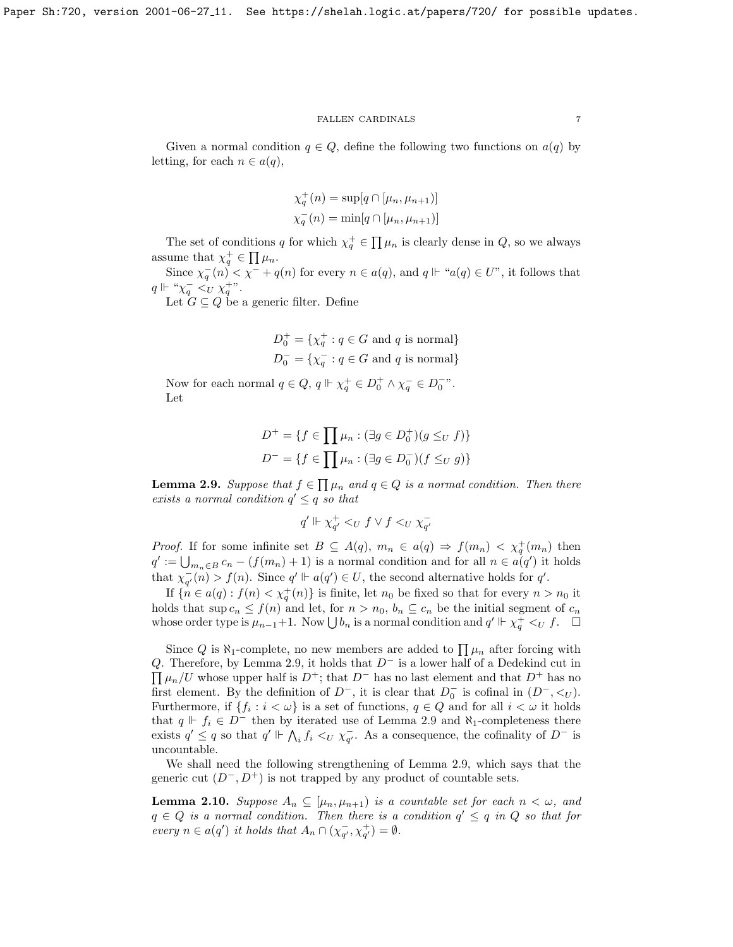Given a normal condition  $q \in Q$ , define the following two functions on  $a(q)$  by letting, for each  $n \in a(q)$ ,

$$
\chi_q^+(n) = \sup[q \cap [\mu_n, \mu_{n+1})]
$$
  

$$
\chi_q^-(n) = \min[q \cap [\mu_n, \mu_{n+1})]
$$

The set of conditions q for which  $\chi_q^+ \in \prod \mu_n$  is clearly dense in  $Q$ , so we always assume that  $\chi_q^+ \in \prod \mu_n$ .

Since  $\chi_q^-(n) < \chi^- + q(n)$  for every  $n \in a(q)$ , and  $q \Vdash "a(q) \in U$ ", it follows that  $q \Vdash " \chi_q^- \prec_U^+ \chi_q^{+\nu}.$ 

Let  $G \subseteq Q$  be a generic filter. Define

$$
D_0^+ = \{ \chi_q^+ : q \in G \text{ and } q \text{ is normal} \}
$$
  

$$
D_0^- = \{ \chi_q^- : q \in G \text{ and } q \text{ is normal} \}
$$

Now for each normal  $q \in Q$ ,  $q \Vdash \chi_q^+ \in D_0^+ \wedge \chi_q^- \in D_0^-$ ". Let

$$
D^{+} = \{ f \in \prod \mu_n : (\exists g \in D_0^{+})(g \leq_U f) \}
$$

$$
D^{-} = \{ f \in \prod \mu_n : (\exists g \in D_0^{-})(f \leq_U g) \}
$$

<span id="page-6-0"></span>**Lemma 2.9.** Suppose that  $f \in \prod \mu_n$  and  $q \in Q$  is a normal condition. Then there exists a normal condition  $q' \leq q$  so that

$$
q' \Vdash \chi_{q'}^+ <_U f \vee f <_U \chi_{q'}^-
$$

*Proof.* If for some infinite set  $B \subseteq A(q)$ ,  $m_n \in a(q) \Rightarrow f(m_n) < \chi_q^+(m_n)$  then  $q' := \bigcup_{m_n \in B} c_n - (f(m_n) + 1)$  is a normal condition and for all  $n \in a(q')$  it holds that  $\chi_{q'}^-(n) > f(n)$ . Since  $q' \Vdash a(q') \in U$ , the second alternative holds for q'.

If  $\{\hat{n} \in a(q) : f(n) < \chi_q^+(n)\}\$ is finite, let  $n_0$  be fixed so that for every  $n > n_0$  it holds that  $\sup c_n \leq f(n)$  and let, for  $n > n_0$ ,  $b_n \subseteq c_n$  be the initial segment of  $c_n$ whose order type is  $\mu_{n-1}+1$ . Now  $\bigcup b_n$  is a normal condition and  $q' \Vdash \chi_q^+ \lt_U f$ .  $\Box$ 

Since Q is  $\aleph_1$ -complete, no new members are added to  $\prod \mu_n$  after forcing with Q. Therefore, by Lemma [2.9,](#page-6-0) it holds that  $D^-$  is a lower half of a Dedekind cut in  $\prod \mu_n/U$  whose upper half is  $D^+$ ; that  $D^-$  has no last element and that  $D^+$  has no first element. By the definition of  $D^-$ , it is clear that  $D_0^-$  is cofinal in  $(D^-, \lt_{U})$ . Furthermore, if  $\{f_i : i < \omega\}$  is a set of functions,  $q \in Q$  and for all  $i < \omega$  it holds that  $q \Vdash f_i \in D^-$  then by iterated use of Lemma [2.9](#page-6-0) and  $\aleph_1$ -completeness there exists  $q' \leq q$  so that  $q' \Vdash \bigwedge_i f_i \leq_U \chi_{q'}^-$ . As a consequence, the cofinality of  $D^-$  is uncountable.

We shall need the following strengthening of Lemma [2.9,](#page-6-0) which says that the generic cut  $(D^-, D^+)$  is not trapped by any product of countable sets.

<span id="page-6-1"></span>**Lemma 2.10.** Suppose  $A_n \subseteq [\mu_n, \mu_{n+1}]$  is a countable set for each  $n < \omega$ , and  $q \in Q$  is a normal condition. Then there is a condition  $q' \leq q$  in Q so that for every  $n \in a(q')$  it holds that  $A_n \cap (\chi_{q'}^-, \chi_{q'}^+) = \emptyset$ .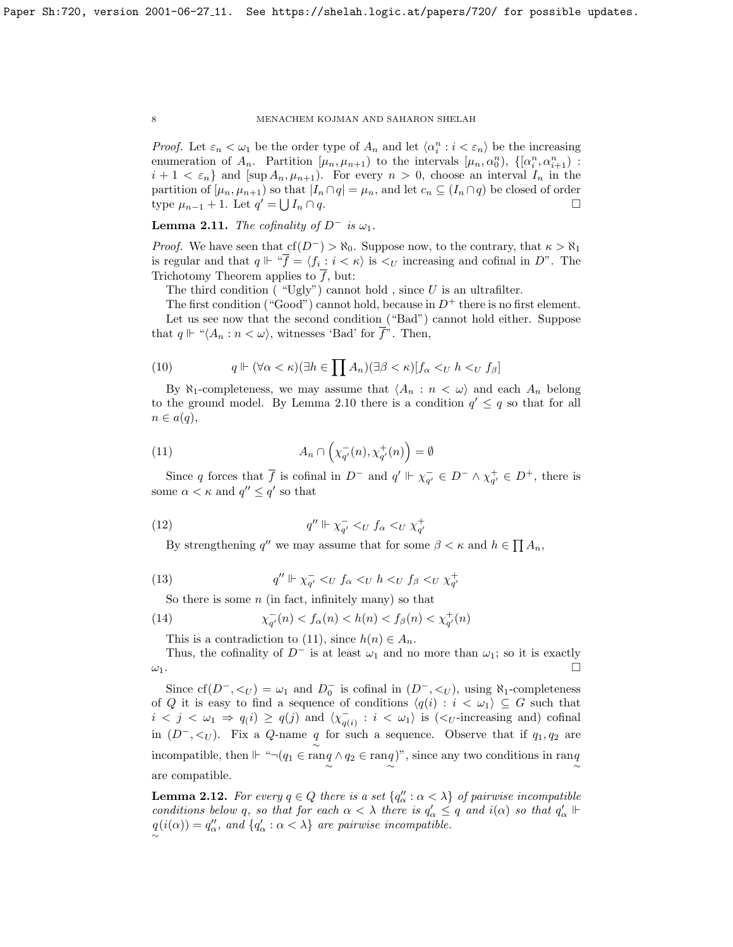*Proof.* Let  $\varepsilon_n < \omega_1$  be the order type of  $A_n$  and let  $\langle \alpha_i^n : i < \varepsilon_n \rangle$  be the increasing enumeration of  $A_n$ . Partition  $[\mu_n, \mu_{n+1}]$  to the intervals  $[\mu_n, \alpha_0^n)$ ,  $\{[\alpha_i^n, \alpha_{i+1}^n)$ :  $i+1 < \varepsilon_n$  and  $[\sup A_n, \mu_{n+1})$ . For every  $n > 0$ , choose an interval  $I_n$  in the partition of  $[\mu_n, \mu_{n+1})$  so that  $|I_n \cap q| = \mu_n$ , and let  $c_n \subseteq (I_n \cap q)$  be closed of order type  $\mu_{n-1} + 1$ . Let  $q' = \bigcup$  $I_n \cap q$ .

**Lemma 2.11.** The cofinality of  $D^-$  is  $\omega_1$ .

*Proof.* We have seen that  $cf(D^-) > \aleph_0$ . Suppose now, to the contrary, that  $\kappa > \aleph_1$ is regular and that  $q \Vdash \sqrt[q]{f} = \langle f_i : i \langle \kappa \rangle \rangle$  is  $\langle U$  increasing and cofinal in D". The Trichotomy Theorem applies to  $\overline{f}$ , but:

The third condition ("Ugly") cannot hold, since  $U$  is an ultrafilter.

The first condition ("Good") cannot hold, because in  $D^+$  there is no first element. Let us see now that the second condition ("Bad") cannot hold either. Suppose that  $q \Vdash ``\langle A_n : n < \omega \rangle$ , witnesses 'Bad' for  $\overline{f}$ ". Then,

(10) 
$$
q \Vdash (\forall \alpha < \kappa)(\exists h \in \prod A_n)(\exists \beta < \kappa)[f_\alpha <_{U} h <_{U} f_\beta]
$$

By  $\aleph_1$ -completeness, we may assume that  $\langle A_n : n \langle \omega \rangle$  and each  $A_n$  belong to the ground model. By Lemma [2.10](#page-6-1) there is a condition  $q' \leq q$  so that for all  $n \in a(q),$ 

<span id="page-7-0"></span>(11) 
$$
A_n \cap \left(\chi_{q'}^-(n), \chi_{q'}^+(n)\right) = \emptyset
$$

Since q forces that  $\overline{f}$  is cofinal in  $D^-$  and  $q' \Vdash \chi_{q'}^- \in D^- \wedge \chi_{q'}^+ \in D^+$ , there is some  $\alpha < \kappa$  and  $q'' \leq q'$  so that

$$
(12)\qquad \qquad q'' \Vdash \chi_{q'}^- \langle U \ f_\alpha \ \langle U \ \chi_{q'}^+ \ \rangle
$$

By strengthening q'' we may assume that for some  $\beta < \kappa$  and  $h \in \prod A_n$ ,

$$
(13) \qquad \qquad q'' \Vdash \chi_{q'}^- \langle U \ f_\alpha \ \langle U \ h \ \langle U \ f_\beta \ \langle U \ \chi_{q'}^+ \ \rangle
$$

So there is some  $n$  (in fact, infinitely many) so that

(14) 
$$
\chi_{q'}^-(n) < f_\alpha(n) < h(n) < f_\beta(n) < \chi_{q'}^+(n)
$$

This is a contradiction to [\(11\)](#page-7-0), since  $h(n) \in A_n$ .

Thus, the cofinality of  $D^-$  is at least  $\omega_1$  and no more than  $\omega_1$ ; so it is exactly  $\omega_1$ .

Since  $cf(D^-, <_U) = \omega_1$  and  $D_0^-$  is cofinal in  $(D^-, <_U)$ , using  $\aleph_1$ -completeness of Q it is easy to find a sequence of conditions  $\langle q(i) : i < \omega_1 \rangle \subseteq G$  such that  $i < j < \omega_1 \Rightarrow q(i) \geq q(j)$  and  $\langle \chi_{q(i)}^{-} : i < \omega_1 \rangle$  is  $(\langle U$ -increasing and) cofinal in  $(D^{-}, \leq_U)$ . Fix a Q-name q for such a sequence. Observe that if  $q_1, q_2$  are incompatible, then  $\Vdash \ulcorner \neg (q_1 \in \widetilde{\mathop{\rm ran}\nolimits_q} \land q_2 \in \mathop{\rm ran}\nolimits_q)$ ", since any two conditions in  $\mathop{\rm ran}\nolimits_q$ are compatible.

<span id="page-7-1"></span>**Lemma 2.12.** For every  $q \in Q$  there is a set  $\{q''_{\alpha} : \alpha < \lambda\}$  of pairwise incompatible conditions below q, so that for each  $\alpha < \lambda$  there is  $q'_\alpha \leq q$  and  $i(\alpha)$  so that  $q'_\alpha \Vdash$  $q(i(\alpha)) = q''_{\alpha}$ , and  $\{q'_{\alpha} : \alpha < \lambda\}$  are pairwise incompatible.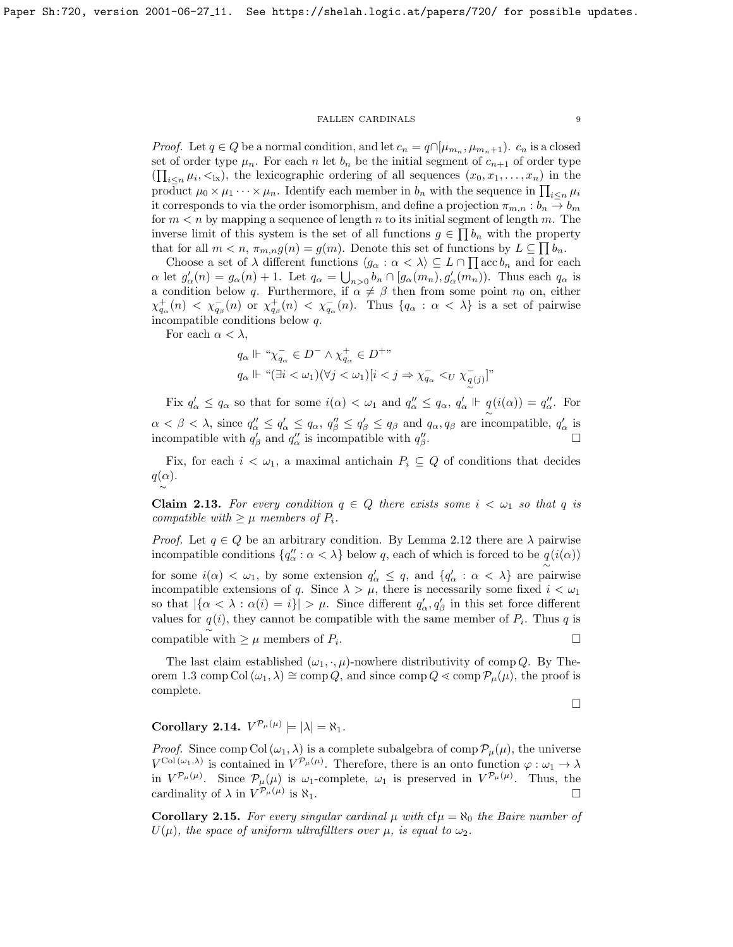*Proof.* Let  $q \in Q$  be a normal condition, and let  $c_n = q \cap [\mu_{m_n}, \mu_{m_n+1})$ .  $c_n$  is a closed set of order type  $\mu_n$ . For each n let  $b_n$  be the initial segment of  $c_{n+1}$  of order type  $(\prod_{i\leq n}\mu_i,\leq_{\rm lx})$ , the lexicographic ordering of all sequences  $(x_0, x_1, \ldots, x_n)$  in the product  $\mu_0 \times \mu_1 \cdots \times \mu_n$ . Identify each member in  $b_n$  with the sequence in  $\prod_{i \leq n} \mu_i$ it corresponds to via the order isomorphism, and define a projection  $\pi_{m,n}: b_n \to b_m$ for  $m < n$  by mapping a sequence of length n to its initial segment of length m. The inverse limit of this system is the set of all functions  $g \in \prod b_n$  with the property that for all  $m < n$ ,  $\pi_{m,n}g(n) = g(m)$ . Denote this set of functions by  $L \subseteq \prod b_n$ .

Choose a set of  $\lambda$  different functions  $\langle g_\alpha : \alpha < \lambda \rangle \subseteq L \cap \prod \alpha c b_n$  and for each  $\alpha$  let  $g'_{\alpha}(n) = g_{\alpha}(n) + 1$ . Let  $q_{\alpha} = \bigcup_{n>0} b_n \cap [g_{\alpha}(m_n), g'_{\alpha}(m_n))$ . Thus each  $q_{\alpha}$  is a condition below q. Furthermore, if  $\alpha \neq \beta$  then from some point  $n_0$  on, either  $\chi^+_{q_\alpha}(n) < \chi^-_{q_\beta}(n)$  or  $\chi^+_{q_\beta}(n) < \chi^-_{q_\alpha}(n)$ . Thus  $\{q_\alpha : \alpha < \lambda\}$  is a set of pairwise incompatible conditions below q.

For each  $\alpha < \lambda$ ,

$$
q_{\alpha} \Vdash \text{``}\chi_{q_{\alpha}}^{-} \in D^{-} \wedge \chi_{q_{\alpha}}^{+} \in D^{+} \text{''}
$$
  

$$
q_{\alpha} \Vdash \text{``}(\exists i < \omega_{1})(\forall j < \omega_{1})[i < j \Rightarrow \chi_{q_{\alpha}}^{-} <_{U} \chi_{q(j)}^{-}] \text{''}
$$

Fix  $q'_\alpha \leq q_\alpha$  so that for some  $i(\alpha) < \omega_1$  and  $q''_\alpha \leq q_\alpha$ ,  $q'_\alpha \Vdash q(i(\alpha)) = q''_\alpha$ . For  $\alpha < \beta < \lambda$ , since  $q''_{\alpha} \leq q'_{\alpha} \leq q_{\alpha}$ ,  $q''_{\beta} \leq q'_{\beta} \leq q_{\beta}$  and  $q_{\alpha}, q_{\beta}$  are incompatible,  $q'_{\alpha}$  is incompatible with  $q'_{\beta}$  and  $q''_{\alpha}$  is incompatible with  $q''_{\beta}$ .

Fix, for each  $i < \omega_1$ , a maximal antichain  $P_i \subseteq Q$  of conditions that decides  $q(\alpha)$ . ∼

**Claim 2.13.** For every condition  $q \in Q$  there exists some  $i < \omega_1$  so that q is compatible with  $\geq \mu$  members of  $P_i$ .

*Proof.* Let  $q \in Q$  be an arbitrary condition. By Lemma [2.12](#page-7-1) there are  $\lambda$  pairwise incompatible conditions  $\{q''_{\alpha} : \alpha < \lambda\}$  below q, each of which is forced to be  $q(i(\alpha))$ 

for some  $i(\alpha) < \omega_1$ , by some extension  $q'_\alpha \leq q$ , and  $\{q'_\alpha : \alpha < \lambda\}$  are pairwise incompatible extensions of q. Since  $\lambda > \mu$ , there is necessarily some fixed  $i < \omega_1$ so that  $|\{\alpha < \lambda : \alpha(i) = i\}| > \mu$ . Since different  $q'_\alpha, q'_\beta$  in this set force different values for  $q(i)$ , they cannot be compatible with the same member of  $P_i$ . Thus q is compatible with  $≥$  μ members of  $P_i$ .

The last claim established  $(\omega_1, \cdot, \mu)$ -nowhere distributivity of comp Q. By The-orem [1.3](#page-1-0) comp Col  $(\omega_1, \lambda) \cong \text{comp }Q$ , and since comp  $Q \ll \text{comp }P_\mu(\mu)$ , the proof is complete.

$$
\qquad \qquad \Box
$$

<span id="page-8-1"></span>Corollary 2.14.  $V^{\mathcal{P}_\mu(\mu)} \models |\lambda| = \aleph_1$ .

*Proof.* Since comp Col  $(\omega_1, \lambda)$  is a complete subalgebra of comp  $\mathcal{P}_{\mu}(\mu)$ , the universe  $V^{\text{Col}(\omega_1,\lambda)}$  is contained in  $V^{\mathcal{P}_\mu(\mu)}$ . Therefore, there is an onto function  $\varphi : \omega_1 \to \lambda$ in  $V^{\mathcal{P}_\mu(\mu)}$ . Since  $\mathcal{P}_\mu(\mu)$  is  $\omega_1$ -complete,  $\omega_1$  is preserved in  $V^{\mathcal{P}_\mu(\mu)}$ . Thus, the cardinality of  $\lambda$  in  $V^{\mathcal{P}_\mu(\mu)}$ is  $\aleph_1$ .

<span id="page-8-0"></span>**Corollary 2.15.** For every singular cardinal  $\mu$  with  $cf \mu = \aleph_0$  the Baire number of  $U(\mu)$ , the space of uniform ultrafiliters over  $\mu$ , is equal to  $\omega_2$ .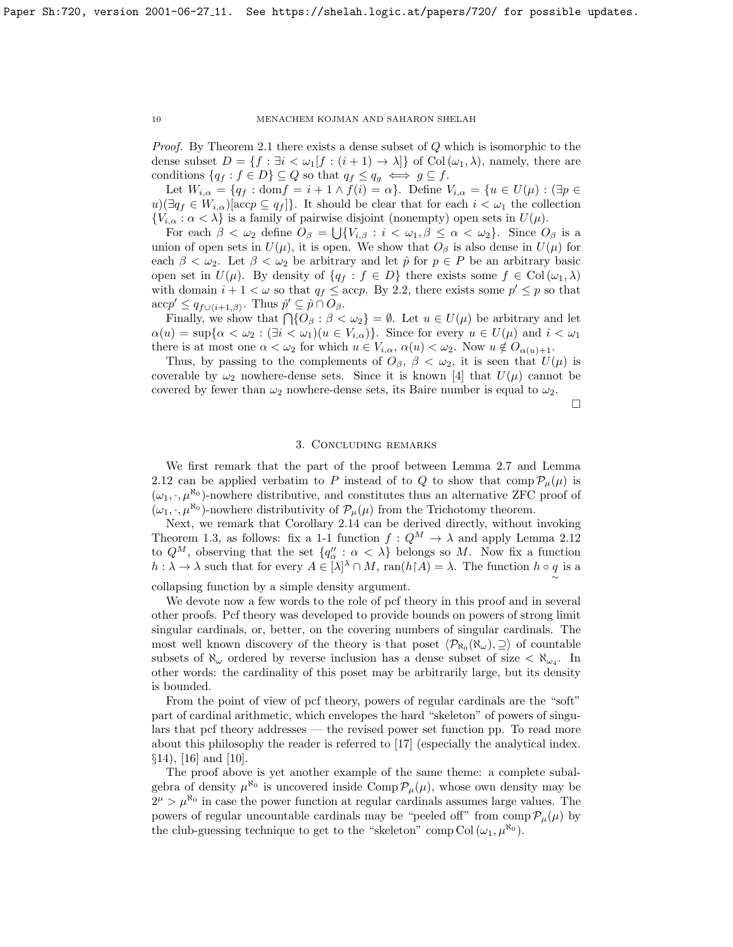Proof. By Theorem [2.1](#page-4-0) there exists a dense subset of Q which is isomorphic to the dense subset  $D = \{f : \exists i < \omega_1[f : (i+1) \to \lambda]\}$  of Col $(\omega_1, \lambda)$ , namely, there are conditions  $\{q_f : f \in D\} \subseteq Q$  so that  $q_f \leq q_g \iff g \subseteq f$ .

Let  $W_{i,\alpha} = \{q_f : \text{dom} f = i + 1 \wedge f(i) = \alpha\}$ . Define  $V_{i,\alpha} = \{u \in U(\mu) : (\exists p \in$  $u)(\exists q_f \in W_{i,\alpha} | \text{acc} p \subseteq q_f ]$ . It should be clear that for each  $i < \omega_1$  the collection  ${V_{i,\alpha} : \alpha < \lambda}$  is a family of pairwise disjoint (nonempty) open sets in  $U(\mu)$ .

For each  $\beta < \omega_2$  define  $O_\beta = \bigcup \{V_{i,\beta} : i < \omega_1, \beta \leq \alpha < \omega_2\}$ . Since  $O_\beta$  is a union of open sets in  $U(\mu)$ , it is open. We show that  $O_\beta$  is also dense in  $U(\mu)$  for each  $\beta < \omega_2$ . Let  $\beta < \omega_2$  be arbitrary and let  $\hat{p}$  for  $p \in P$  be an arbitrary basic open set in  $U(\mu)$ . By density of  $\{q_f : f \in D\}$  there exists some  $f \in Col(\omega_1, \lambda)$ with domain  $i + 1 < \omega$  so that  $q_f \leq acp$ . By [2.2,](#page-4-3) there exists some  $p' \leq p$  so that  $\mathrm{acc} p' \leq q_{f \cup \{i+1,\beta\}}$ . Thus  $\hat{p}' \subseteq \hat{p} \cap O_{\beta}$ .

Finally, we show that  $\bigcap \{O_\beta : \beta < \omega_2\} = \emptyset$ . Let  $u \in U(\mu)$  be arbitrary and let  $\alpha(u) = \sup\{\alpha < \omega_2 : (\exists i < \omega_1)(u \in V_{i,\alpha})\}.$  Since for every  $u \in U(\mu)$  and  $i < \omega_1$ there is at most one  $\alpha < \omega_2$  for which  $u \in V_{i,\alpha}$ ,  $\alpha(u) < \omega_2$ . Now  $u \notin O_{\alpha(u)+1}$ .

Thus, by passing to the complements of  $O_\beta$ ,  $\beta < \omega_2$ , it is seen that  $U(\mu)$  is coverable by  $\omega_2$  nowhere-dense sets. Since it is known [\[4\]](#page-10-7) that  $U(\mu)$  cannot be covered by fewer than  $\omega_2$  nowhere-dense sets, its Baire number is equal to  $\omega_2$ .

 $\Box$ 

# 3. Concluding remarks

We first remark that the part of the proof between Lemma [2.7](#page-5-0) and Lemma [2.12](#page-7-1) can be applied verbatim to P instead of to Q to show that  $comp\mathcal{P}_u(\mu)$  is  $(\omega_1, \cdot, \mu^{\aleph_0})$ -nowhere distributive, and constitutes thus an alternative ZFC proof of  $(\omega_1, \cdot, \mu^{\aleph_0})$ -nowhere distributivity of  $\mathcal{P}_{\mu}(\mu)$  from the Trichotomy theorem.

Next, we remark that Corollary [2.14](#page-8-1) can be derived directly, without invoking Theorem [1.3,](#page-1-0) as follows: fix a 1-1 function  $f: Q^M \to \lambda$  and apply Lemma [2.12](#page-7-1) to  $Q^M$ , observing that the set  $\{q''_{\alpha} : \alpha < \lambda\}$  belongs so M. Now fix a function  $h : \lambda \to \lambda$  such that for every  $A \in [\lambda]^{\lambda} \cap M$ ,  $\text{ran}(h \upharpoonright A) = \lambda$ . The function  $h \circ q$  is a ∼

collapsing function by a simple density argument.

We devote now a few words to the role of pcf theory in this proof and in several other proofs. Pcf theory was developed to provide bounds on powers of strong limit singular cardinals, or, better, on the covering numbers of singular cardinals. The most well known discovery of the theory is that poset  $\langle \mathcal{P}_{\aleph_0}(\aleph_\omega), \supseteq \rangle$  of countable subsets of  $\aleph_{\omega}$  ordered by reverse inclusion has a dense subset of size  $\langle \aleph_{\omega_4} \rangle$ . In other words: the cardinality of this poset may be arbitrarily large, but its density is bounded.

From the point of view of pcf theory, powers of regular cardinals are the "soft" part of cardinal arithmetic, which envelopes the hard "skeleton" of powers of singulars that pcf theory addresses — the revised power set function pp. To read more about this philosophy the reader is referred to [\[17\]](#page-10-8) (especially the analytical index. §14), [\[16\]](#page-10-12) and [\[10\]](#page-10-9).

The proof above is yet another example of the same theme: a complete subalgebra of density  $\mu^{\aleph_0}$  is uncovered inside Comp  $\mathcal{P}_{\mu}(\mu)$ , whose own density may be  $2^{\mu} > \mu^{\aleph_0}$  in case the power function at regular cardinals assumes large values. The powers of regular uncountable cardinals may be "peeled off" from comp  $\mathcal{P}_{\mu}(\mu)$  by the club-guessing technique to get to the "skeleton" comp Col  $(\omega_1, \mu^{\aleph_0})$ .